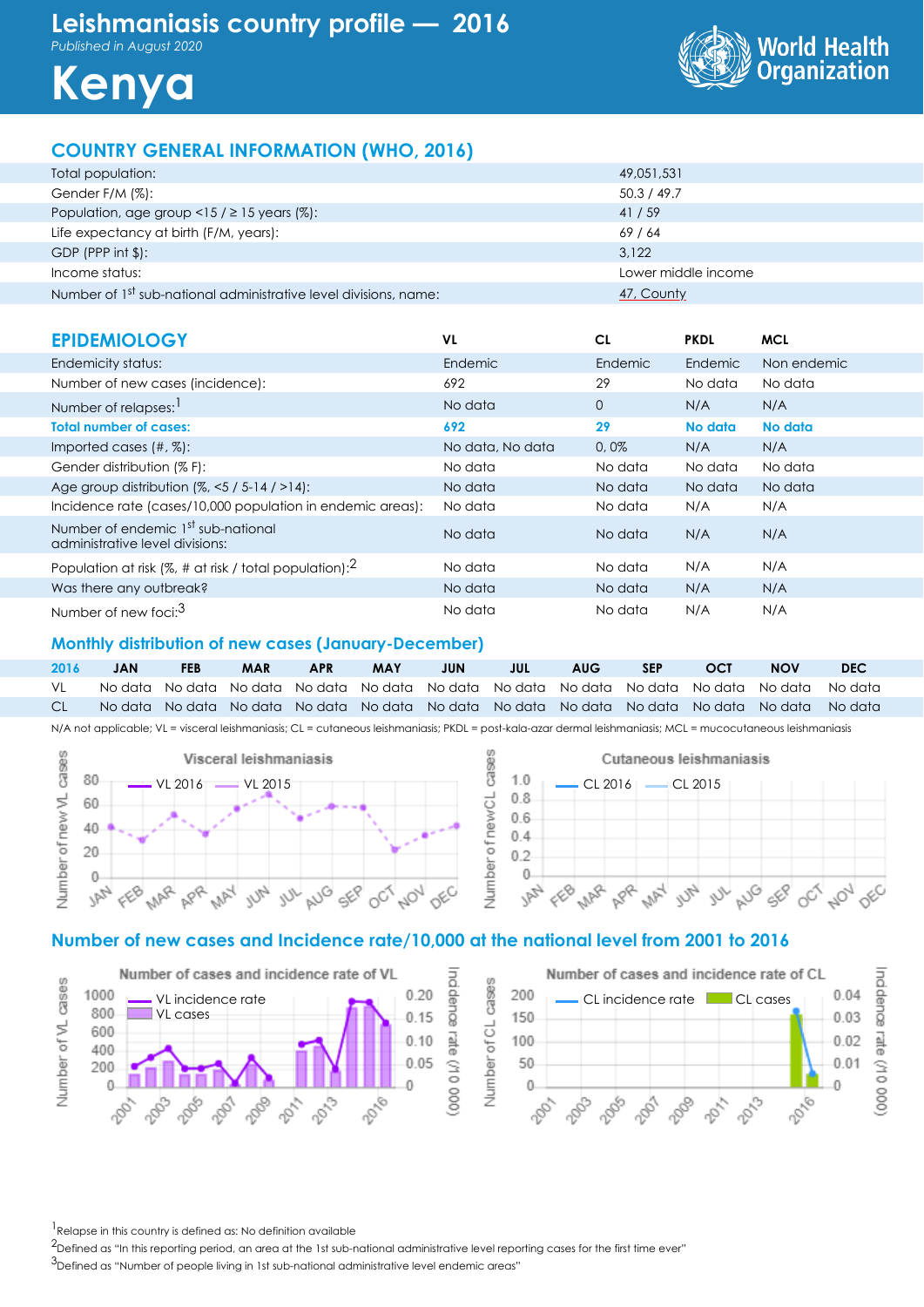*Published in August 2020*





# **COUNTRY GENERAL INFORMATION (WHO, 2016)**

| Total population:                                                            | 49,051,531          |
|------------------------------------------------------------------------------|---------------------|
| Gender F/M (%):                                                              | 50.3 / 49.7         |
| Population, age group <15 / $\geq$ 15 years (%):                             | 41/59               |
| Life expectancy at birth (F/M, years):                                       | 69/64               |
| GDP (PPP int $\frac{1}{2}$ ):                                                | 3.122               |
| Income status:                                                               | Lower middle income |
| Number of 1 <sup>st</sup> sub-national administrative level divisions, name: | 47, County          |

| <b>EPIDEMIOLOGY</b>                                                               | VL               | CL             | <b>PKDL</b>    | <b>MCL</b>  |
|-----------------------------------------------------------------------------------|------------------|----------------|----------------|-------------|
| Endemicity status:                                                                | Endemic          | <b>Endemic</b> | <b>Endemic</b> | Non endemic |
| Number of new cases (incidence):                                                  | 692              | 29             | No data        | No data     |
| Number of relapses:                                                               | No data          | $\Omega$       | N/A            | N/A         |
| <b>Total number of cases:</b>                                                     | 692              | 29             | No data        | No data     |
| Imported cases $(\#$ , $\%)$ :                                                    | No data, No data | 0.0%           | N/A            | N/A         |
| Gender distribution (% F):                                                        | No data          | No data        | No data        | No data     |
| Age group distribution $(%, < 5 / 5 - 14 / > 14)$ :                               | No data          | No data        | No data        | No data     |
| Incidence rate (cases/10,000 population in endemic areas):                        | No data          | No data        | N/A            | N/A         |
| Number of endemic 1 <sup>st</sup> sub-national<br>administrative level divisions: | No data          | No data        | N/A            | N/A         |
| Population at risk (%, # at risk / total population): $^2$                        | No data          | No data        | N/A            | N/A         |
| Was there any outbreak?                                                           | No data          | No data        | N/A            | N/A         |
| Number of new foci: <sup>3</sup>                                                  | No data          | No data        | N/A            | N/A         |

#### **Monthly distribution of new cases (January-December)**

**2016 JAN FEB MAR APR MAY JUN JUL AUG SEP OCT NOV DEC** VL No data No data No data No data No data No data No data No data No data No data No data No data CL No data No data No data No data No data No data No data No data No data No data No data No data

N/A not applicable; VL = visceral leishmaniasis; CL = cutaneous leishmaniasis; PKDL = post-kala-azar dermal leishmaniasis; MCL = mucocutaneous leishmaniasis





# **Number of new cases and Incidence rate/10,000 at the national level from 2001 to 2016**





 $<sup>1</sup>$  Relapse in this country is defined as: No definition available</sup>

<sup>2</sup>Defined as "In this reporting period, an area at the 1st sub-national administrative level reporting cases for the first time ever"

3Defined as "Number of people living in 1st sub-national administrative level endemic areas"